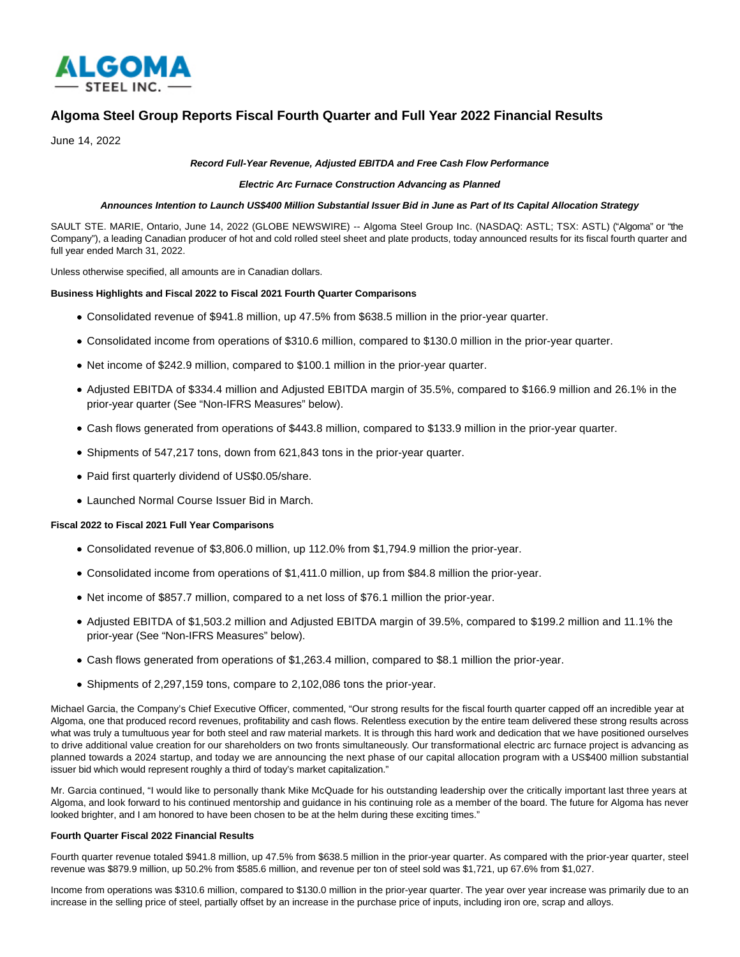

# **Algoma Steel Group Reports Fiscal Fourth Quarter and Full Year 2022 Financial Results**

June 14, 2022

## **Record Full-Year Revenue, Adjusted EBITDA and Free Cash Flow Performance**

#### **Electric Arc Furnace Construction Advancing as Planned**

#### **Announces Intention to Launch US\$400 Million Substantial Issuer Bid in June as Part of Its Capital Allocation Strategy**

SAULT STE. MARIE, Ontario, June 14, 2022 (GLOBE NEWSWIRE) -- Algoma Steel Group Inc. (NASDAQ: ASTL; TSX: ASTL) ("Algoma" or "the Company"), a leading Canadian producer of hot and cold rolled steel sheet and plate products, today announced results for its fiscal fourth quarter and full year ended March 31, 2022.

Unless otherwise specified, all amounts are in Canadian dollars.

#### **Business Highlights and Fiscal 2022 to Fiscal 2021 Fourth Quarter Comparisons**

- Consolidated revenue of \$941.8 million, up 47.5% from \$638.5 million in the prior-year quarter.
- Consolidated income from operations of \$310.6 million, compared to \$130.0 million in the prior-year quarter.
- Net income of \$242.9 million, compared to \$100.1 million in the prior-year quarter.
- Adjusted EBITDA of \$334.4 million and Adjusted EBITDA margin of 35.5%, compared to \$166.9 million and 26.1% in the prior-year quarter (See "Non-IFRS Measures" below).
- Cash flows generated from operations of \$443.8 million, compared to \$133.9 million in the prior-year quarter.
- Shipments of 547,217 tons, down from 621,843 tons in the prior-year quarter.
- Paid first quarterly dividend of US\$0.05/share.
- Launched Normal Course Issuer Bid in March.

## **Fiscal 2022 to Fiscal 2021 Full Year Comparisons**

- Consolidated revenue of \$3,806.0 million, up 112.0% from \$1,794.9 million the prior-year.
- Consolidated income from operations of \$1,411.0 million, up from \$84.8 million the prior-year.
- Net income of \$857.7 million, compared to a net loss of \$76.1 million the prior-year.
- Adjusted EBITDA of \$1,503.2 million and Adjusted EBITDA margin of 39.5%, compared to \$199.2 million and 11.1% the prior-year (See "Non-IFRS Measures" below).
- Cash flows generated from operations of \$1,263.4 million, compared to \$8.1 million the prior-year.
- Shipments of 2,297,159 tons, compare to 2,102,086 tons the prior-year.

Michael Garcia, the Company's Chief Executive Officer, commented, "Our strong results for the fiscal fourth quarter capped off an incredible year at Algoma, one that produced record revenues, profitability and cash flows. Relentless execution by the entire team delivered these strong results across what was truly a tumultuous year for both steel and raw material markets. It is through this hard work and dedication that we have positioned ourselves to drive additional value creation for our shareholders on two fronts simultaneously. Our transformational electric arc furnace project is advancing as planned towards a 2024 startup, and today we are announcing the next phase of our capital allocation program with a US\$400 million substantial issuer bid which would represent roughly a third of today's market capitalization."

Mr. Garcia continued, "I would like to personally thank Mike McQuade for his outstanding leadership over the critically important last three years at Algoma, and look forward to his continued mentorship and guidance in his continuing role as a member of the board. The future for Algoma has never looked brighter, and I am honored to have been chosen to be at the helm during these exciting times."

## **Fourth Quarter Fiscal 2022 Financial Results**

Fourth quarter revenue totaled \$941.8 million, up 47.5% from \$638.5 million in the prior-year quarter. As compared with the prior-year quarter, steel revenue was \$879.9 million, up 50.2% from \$585.6 million, and revenue per ton of steel sold was \$1,721, up 67.6% from \$1,027.

Income from operations was \$310.6 million, compared to \$130.0 million in the prior-year quarter. The year over year increase was primarily due to an increase in the selling price of steel, partially offset by an increase in the purchase price of inputs, including iron ore, scrap and alloys.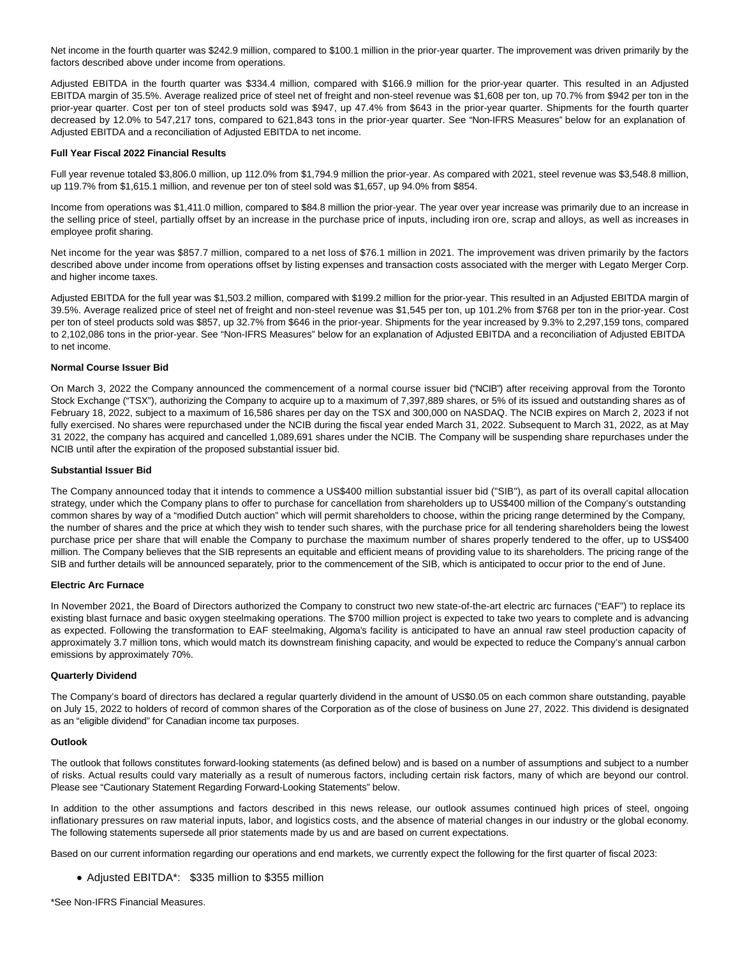Net income in the fourth quarter was \$242.9 million, compared to \$100.1 million in the prior-year quarter. The improvement was driven primarily by the factors described above under income from operations.

Adjusted EBITDA in the fourth quarter was \$334.4 million, compared with \$166.9 million for the prior-year quarter. This resulted in an Adjusted EBITDA margin of 35.5%. Average realized price of steel net of freight and non-steel revenue was \$1,608 per ton, up 70.7% from \$942 per ton in the prior-year quarter. Cost per ton of steel products sold was \$947, up 47.4% from \$643 in the prior-year quarter. Shipments for the fourth quarter decreased by 12.0% to 547,217 tons, compared to 621,843 tons in the prior-year quarter. See "Non-IFRS Measures" below for an explanation of Adjusted EBITDA and a reconciliation of Adjusted EBITDA to net income.

#### **Full Year Fiscal 2022 Financial Results**

Full year revenue totaled \$3,806.0 million, up 112.0% from \$1,794.9 million the prior-year. As compared with 2021, steel revenue was \$3,548.8 million, up 119.7% from \$1,615.1 million, and revenue per ton of steel sold was \$1,657, up 94.0% from \$854.

Income from operations was \$1,411.0 million, compared to \$84.8 million the prior-year. The year over year increase was primarily due to an increase in the selling price of steel, partially offset by an increase in the purchase price of inputs, including iron ore, scrap and alloys, as well as increases in employee profit sharing.

Net income for the year was \$857.7 million, compared to a net loss of \$76.1 million in 2021. The improvement was driven primarily by the factors described above under income from operations offset by listing expenses and transaction costs associated with the merger with Legato Merger Corp. and higher income taxes.

Adjusted EBITDA for the full year was \$1,503.2 million, compared with \$199.2 million for the prior-year. This resulted in an Adjusted EBITDA margin of 39.5%. Average realized price of steel net of freight and non-steel revenue was \$1,545 per ton, up 101.2% from \$768 per ton in the prior-year. Cost per ton of steel products sold was \$857, up 32.7% from \$646 in the prior-year. Shipments for the year increased by 9.3% to 2,297,159 tons, compared to 2,102,086 tons in the prior-year. See "Non-IFRS Measures" below for an explanation of Adjusted EBITDA and a reconciliation of Adjusted EBITDA to net income.

### **Normal Course Issuer Bid**

On March 3, 2022 the Company announced the commencement of a normal course issuer bid ("NCIB") after receiving approval from the Toronto Stock Exchange ("TSX"), authorizing the Company to acquire up to a maximum of 7,397,889 shares, or 5% of its issued and outstanding shares as of February 18, 2022, subject to a maximum of 16,586 shares per day on the TSX and 300,000 on NASDAQ. The NCIB expires on March 2, 2023 if not fully exercised. No shares were repurchased under the NCIB during the fiscal year ended March 31, 2022. Subsequent to March 31, 2022, as at May 31 2022, the company has acquired and cancelled 1,089,691 shares under the NCIB. The Company will be suspending share repurchases under the NCIB until after the expiration of the proposed substantial issuer bid.

#### **Substantial Issuer Bid**

The Company announced today that it intends to commence a US\$400 million substantial issuer bid ("SIB"), as part of its overall capital allocation strategy, under which the Company plans to offer to purchase for cancellation from shareholders up to US\$400 million of the Company's outstanding common shares by way of a "modified Dutch auction" which will permit shareholders to choose, within the pricing range determined by the Company, the number of shares and the price at which they wish to tender such shares, with the purchase price for all tendering shareholders being the lowest purchase price per share that will enable the Company to purchase the maximum number of shares properly tendered to the offer, up to US\$400 million. The Company believes that the SIB represents an equitable and efficient means of providing value to its shareholders. The pricing range of the SIB and further details will be announced separately, prior to the commencement of the SIB, which is anticipated to occur prior to the end of June.

### **Electric Arc Furnace**

In November 2021, the Board of Directors authorized the Company to construct two new state-of-the-art electric arc furnaces ("EAF") to replace its existing blast furnace and basic oxygen steelmaking operations. The \$700 million project is expected to take two years to complete and is advancing as expected. Following the transformation to EAF steelmaking, Algoma's facility is anticipated to have an annual raw steel production capacity of approximately 3.7 million tons, which would match its downstream finishing capacity, and would be expected to reduce the Company's annual carbon emissions by approximately 70%.

### **Quarterly Dividend**

The Company's board of directors has declared a regular quarterly dividend in the amount of US\$0.05 on each common share outstanding, payable on July 15, 2022 to holders of record of common shares of the Corporation as of the close of business on June 27, 2022. This dividend is designated as an "eligible dividend" for Canadian income tax purposes.

### **Outlook**

The outlook that follows constitutes forward-looking statements (as defined below) and is based on a number of assumptions and subject to a number of risks. Actual results could vary materially as a result of numerous factors, including certain risk factors, many of which are beyond our control. Please see "Cautionary Statement Regarding Forward-Looking Statements" below.

In addition to the other assumptions and factors described in this news release, our outlook assumes continued high prices of steel, ongoing inflationary pressures on raw material inputs, labor, and logistics costs, and the absence of material changes in our industry or the global economy. The following statements supersede all prior statements made by us and are based on current expectations.

Based on our current information regarding our operations and end markets, we currently expect the following for the first quarter of fiscal 2023:

Adjusted EBITDA\*: \$335 million to \$355 million

\*See Non-IFRS Financial Measures.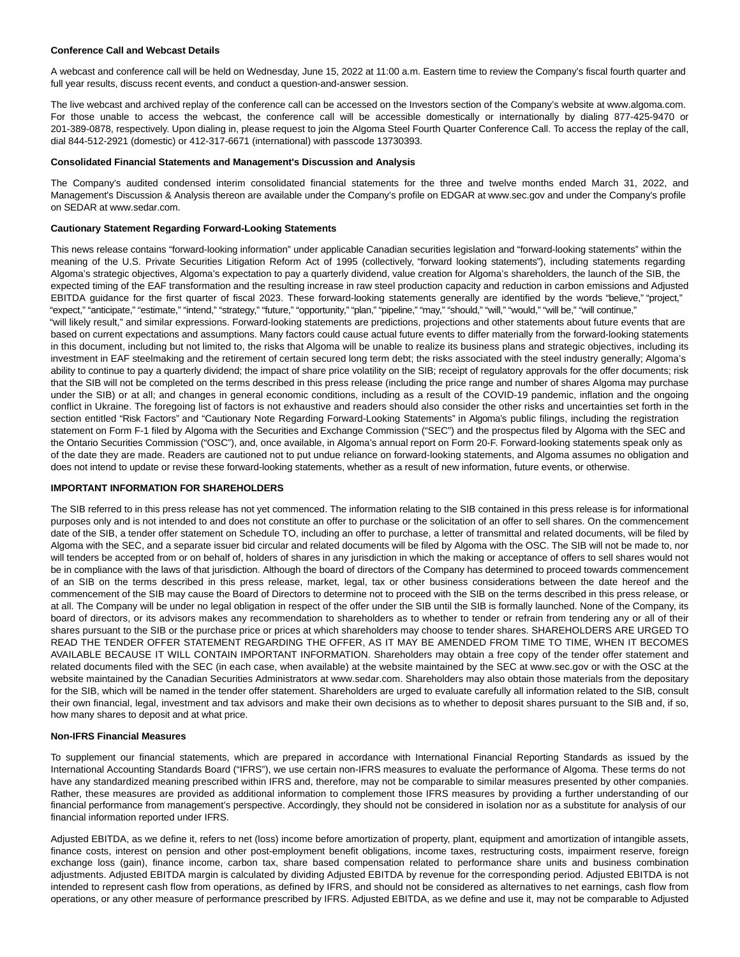#### **Conference Call and Webcast Details**

A webcast and conference call will be held on Wednesday, June 15, 2022 at 11:00 a.m. Eastern time to review the Company's fiscal fourth quarter and full year results, discuss recent events, and conduct a question-and-answer session.

The live webcast and archived replay of the conference call can be accessed on the Investors section of the Company's website at www.algoma.com. For those unable to access the webcast, the conference call will be accessible domestically or internationally by dialing 877-425-9470 or 201-389-0878, respectively. Upon dialing in, please request to join the Algoma Steel Fourth Quarter Conference Call. To access the replay of the call, dial 844-512-2921 (domestic) or 412-317-6671 (international) with passcode 13730393.

#### **Consolidated Financial Statements and Management's Discussion and Analysis**

The Company's audited condensed interim consolidated financial statements for the three and twelve months ended March 31, 2022, and Management's Discussion & Analysis thereon are available under the Company's profile on EDGAR at www.sec.gov and under the Company's profile on SEDAR at www.sedar.com.

#### **Cautionary Statement Regarding Forward-Looking Statements**

This news release contains "forward-looking information" under applicable Canadian securities legislation and "forward-looking statements" within the meaning of the U.S. Private Securities Litigation Reform Act of 1995 (collectively, "forward looking statements"), including statements regarding Algoma's strategic objectives, Algoma's expectation to pay a quarterly dividend, value creation for Algoma's shareholders, the launch of the SIB, the expected timing of the EAF transformation and the resulting increase in raw steel production capacity and reduction in carbon emissions and Adjusted EBITDA guidance for the first quarter of fiscal 2023. These forward-looking statements generally are identified by the words "believe," "project," "expect," "anticipate," "estimate," "intend," "strategy," "future," "opportunity," "plan," "pipeline," "may," "should," "will," "would," "will be," "will continue," "will likely result," and similar expressions. Forward-looking statements are predictions, projections and other statements about future events that are based on current expectations and assumptions. Many factors could cause actual future events to differ materially from the forward-looking statements in this document, including but not limited to, the risks that Algoma will be unable to realize its business plans and strategic objectives, including its investment in EAF steelmaking and the retirement of certain secured long term debt; the risks associated with the steel industry generally; Algoma's ability to continue to pay a quarterly dividend; the impact of share price volatility on the SIB; receipt of regulatory approvals for the offer documents; risk that the SIB will not be completed on the terms described in this press release (including the price range and number of shares Algoma may purchase under the SIB) or at all; and changes in general economic conditions, including as a result of the COVID-19 pandemic, inflation and the ongoing conflict in Ukraine. The foregoing list of factors is not exhaustive and readers should also consider the other risks and uncertainties set forth in the section entitled "Risk Factors" and "Cautionary Note Regarding Forward-Looking Statements" in Algoma's public filings, including the registration statement on Form F-1 filed by Algoma with the Securities and Exchange Commission ("SEC") and the prospectus filed by Algoma with the SEC and the Ontario Securities Commission ("OSC"), and, once available, in Algoma's annual report on Form 20-F. Forward-looking statements speak only as of the date they are made. Readers are cautioned not to put undue reliance on forward-looking statements, and Algoma assumes no obligation and does not intend to update or revise these forward-looking statements, whether as a result of new information, future events, or otherwise.

### **IMPORTANT INFORMATION FOR SHAREHOLDERS**

The SIB referred to in this press release has not yet commenced. The information relating to the SIB contained in this press release is for informational purposes only and is not intended to and does not constitute an offer to purchase or the solicitation of an offer to sell shares. On the commencement date of the SIB, a tender offer statement on Schedule TO, including an offer to purchase, a letter of transmittal and related documents, will be filed by Algoma with the SEC, and a separate issuer bid circular and related documents will be filed by Algoma with the OSC. The SIB will not be made to, nor will tenders be accepted from or on behalf of, holders of shares in any jurisdiction in which the making or acceptance of offers to sell shares would not be in compliance with the laws of that jurisdiction. Although the board of directors of the Company has determined to proceed towards commencement of an SIB on the terms described in this press release, market, legal, tax or other business considerations between the date hereof and the commencement of the SIB may cause the Board of Directors to determine not to proceed with the SIB on the terms described in this press release, or at all. The Company will be under no legal obligation in respect of the offer under the SIB until the SIB is formally launched. None of the Company, its board of directors, or its advisors makes any recommendation to shareholders as to whether to tender or refrain from tendering any or all of their shares pursuant to the SIB or the purchase price or prices at which shareholders may choose to tender shares. SHAREHOLDERS ARE URGED TO READ THE TENDER OFFER STATEMENT REGARDING THE OFFER, AS IT MAY BE AMENDED FROM TIME TO TIME, WHEN IT BECOMES AVAILABLE BECAUSE IT WILL CONTAIN IMPORTANT INFORMATION. Shareholders may obtain a free copy of the tender offer statement and related documents filed with the SEC (in each case, when available) at the website maintained by the SEC at www.sec.gov or with the OSC at the website maintained by the Canadian Securities Administrators at www.sedar.com. Shareholders may also obtain those materials from the depositary for the SIB, which will be named in the tender offer statement. Shareholders are urged to evaluate carefully all information related to the SIB, consult their own financial, legal, investment and tax advisors and make their own decisions as to whether to deposit shares pursuant to the SIB and, if so, how many shares to deposit and at what price.

#### **Non-IFRS Financial Measures**

To supplement our financial statements, which are prepared in accordance with International Financial Reporting Standards as issued by the International Accounting Standards Board ("IFRS"), we use certain non-IFRS measures to evaluate the performance of Algoma. These terms do not have any standardized meaning prescribed within IFRS and, therefore, may not be comparable to similar measures presented by other companies. Rather, these measures are provided as additional information to complement those IFRS measures by providing a further understanding of our financial performance from management's perspective. Accordingly, they should not be considered in isolation nor as a substitute for analysis of our financial information reported under IFRS.

Adjusted EBITDA, as we define it, refers to net (loss) income before amortization of property, plant, equipment and amortization of intangible assets, finance costs, interest on pension and other post-employment benefit obligations, income taxes, restructuring costs, impairment reserve, foreign exchange loss (gain), finance income, carbon tax, share based compensation related to performance share units and business combination adjustments. Adjusted EBITDA margin is calculated by dividing Adjusted EBITDA by revenue for the corresponding period. Adjusted EBITDA is not intended to represent cash flow from operations, as defined by IFRS, and should not be considered as alternatives to net earnings, cash flow from operations, or any other measure of performance prescribed by IFRS. Adjusted EBITDA, as we define and use it, may not be comparable to Adjusted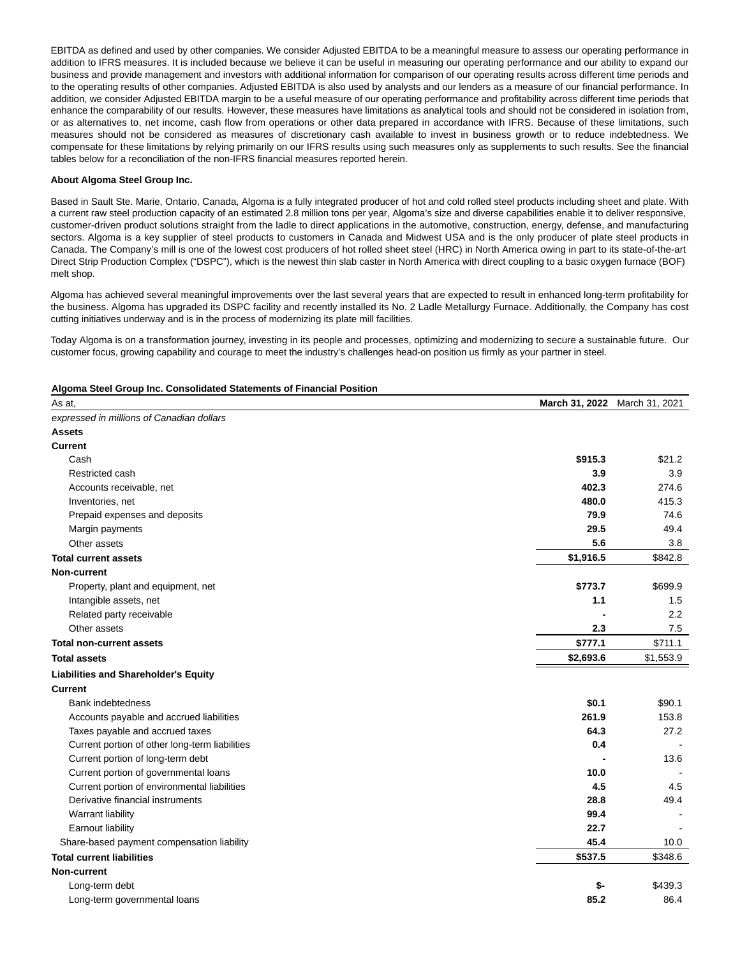EBITDA as defined and used by other companies. We consider Adjusted EBITDA to be a meaningful measure to assess our operating performance in addition to IFRS measures. It is included because we believe it can be useful in measuring our operating performance and our ability to expand our business and provide management and investors with additional information for comparison of our operating results across different time periods and to the operating results of other companies. Adjusted EBITDA is also used by analysts and our lenders as a measure of our financial performance. In addition, we consider Adjusted EBITDA margin to be a useful measure of our operating performance and profitability across different time periods that enhance the comparability of our results. However, these measures have limitations as analytical tools and should not be considered in isolation from, or as alternatives to, net income, cash flow from operations or other data prepared in accordance with IFRS. Because of these limitations, such measures should not be considered as measures of discretionary cash available to invest in business growth or to reduce indebtedness. We compensate for these limitations by relying primarily on our IFRS results using such measures only as supplements to such results. See the financial tables below for a reconciliation of the non-IFRS financial measures reported herein.

### **About Algoma Steel Group Inc.**

Based in Sault Ste. Marie, Ontario, Canada, Algoma is a fully integrated producer of hot and cold rolled steel products including sheet and plate. With a current raw steel production capacity of an estimated 2.8 million tons per year, Algoma's size and diverse capabilities enable it to deliver responsive, customer-driven product solutions straight from the ladle to direct applications in the automotive, construction, energy, defense, and manufacturing sectors. Algoma is a key supplier of steel products to customers in Canada and Midwest USA and is the only producer of plate steel products in Canada. The Company's mill is one of the lowest cost producers of hot rolled sheet steel (HRC) in North America owing in part to its state-of-the-art Direct Strip Production Complex ("DSPC"), which is the newest thin slab caster in North America with direct coupling to a basic oxygen furnace (BOF) melt shop.

Algoma has achieved several meaningful improvements over the last several years that are expected to result in enhanced long-term profitability for the business. Algoma has upgraded its DSPC facility and recently installed its No. 2 Ladle Metallurgy Furnace. Additionally, the Company has cost cutting initiatives underway and is in the process of modernizing its plate mill facilities.

Today Algoma is on a transformation journey, investing in its people and processes, optimizing and modernizing to secure a sustainable future. Our customer focus, growing capability and courage to meet the industry's challenges head-on position us firmly as your partner in steel.

#### **Algoma Steel Group Inc. Consolidated Statements of Financial Position**

| As at,                                         |           | March 31, 2022 March 31, 2021 |
|------------------------------------------------|-----------|-------------------------------|
| expressed in millions of Canadian dollars      |           |                               |
| <b>Assets</b>                                  |           |                               |
| <b>Current</b>                                 |           |                               |
| Cash                                           | \$915.3   | \$21.2                        |
| Restricted cash                                | 3.9       | 3.9                           |
| Accounts receivable, net                       | 402.3     | 274.6                         |
| Inventories, net                               | 480.0     | 415.3                         |
| Prepaid expenses and deposits                  | 79.9      | 74.6                          |
| Margin payments                                | 29.5      | 49.4                          |
| Other assets                                   | 5.6       | 3.8                           |
| <b>Total current assets</b>                    | \$1,916.5 | \$842.8                       |
| Non-current                                    |           |                               |
| Property, plant and equipment, net             | \$773.7   | \$699.9                       |
| Intangible assets, net                         | 1.1       | 1.5                           |
| Related party receivable                       |           | 2.2                           |
| Other assets                                   | 2.3       | 7.5                           |
| <b>Total non-current assets</b>                | \$777.1   | \$711.1                       |
| <b>Total assets</b>                            | \$2,693.6 | \$1,553.9                     |
| <b>Liabilities and Shareholder's Equity</b>    |           |                               |
| <b>Current</b>                                 |           |                               |
| <b>Bank indebtedness</b>                       | \$0.1     | \$90.1                        |
| Accounts payable and accrued liabilities       | 261.9     | 153.8                         |
| Taxes payable and accrued taxes                | 64.3      | 27.2                          |
| Current portion of other long-term liabilities | 0.4       |                               |
| Current portion of long-term debt              |           | 13.6                          |
| Current portion of governmental loans          | 10.0      |                               |
| Current portion of environmental liabilities   | 4.5       | 4.5                           |
| Derivative financial instruments               | 28.8      | 49.4                          |
| Warrant liability                              | 99.4      |                               |
| Earnout liability                              | 22.7      |                               |
| Share-based payment compensation liability     | 45.4      | 10.0                          |
| <b>Total current liabilities</b>               | \$537.5   | \$348.6                       |
| Non-current                                    |           |                               |
| Long-term debt                                 | \$-       | \$439.3                       |
| Long-term governmental loans                   | 85.2      | 86.4                          |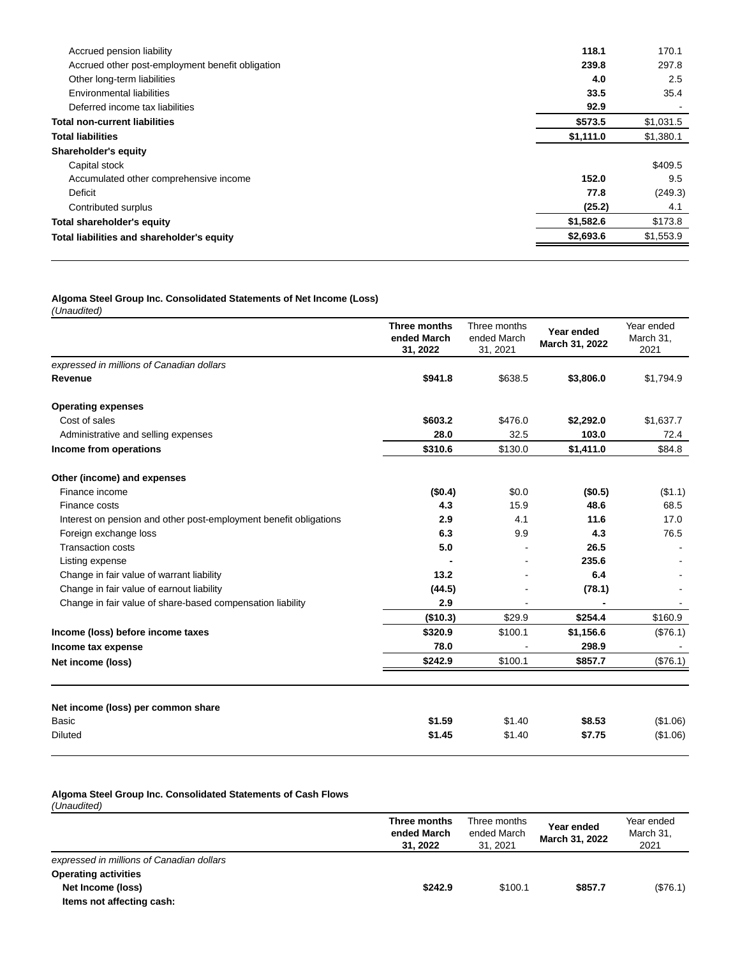| Accrued pension liability                        | 118.1     | 170.1     |
|--------------------------------------------------|-----------|-----------|
| Accrued other post-employment benefit obligation | 239.8     | 297.8     |
| Other long-term liabilities                      | 4.0       | 2.5       |
| Environmental liabilities                        | 33.5      | 35.4      |
| Deferred income tax liabilities                  | 92.9      |           |
| <b>Total non-current liabilities</b>             | \$573.5   | \$1,031.5 |
| <b>Total liabilities</b>                         | \$1,111.0 | \$1,380.1 |
| Shareholder's equity                             |           |           |
| Capital stock                                    |           | \$409.5   |
| Accumulated other comprehensive income           | 152.0     | 9.5       |
| Deficit                                          | 77.8      | (249.3)   |
| Contributed surplus                              | (25.2)    | 4.1       |
| <b>Total shareholder's equity</b>                | \$1,582.6 | \$173.8   |
| Total liabilities and shareholder's equity       | \$2,693.6 | \$1,553.9 |
|                                                  |           |           |

#### **Algoma Steel Group Inc. Consolidated Statements of Net Income (Loss)**

(Unaudited)

|                                                                   | Three months<br>ended March<br>31, 2022 | Three months<br>ended March<br>31, 2021 | Year ended<br>March 31, 2022 | Year ended<br>March 31,<br>2021 |
|-------------------------------------------------------------------|-----------------------------------------|-----------------------------------------|------------------------------|---------------------------------|
| expressed in millions of Canadian dollars                         |                                         |                                         |                              |                                 |
| Revenue                                                           | \$941.8                                 | \$638.5                                 | \$3,806.0                    | \$1,794.9                       |
| <b>Operating expenses</b>                                         |                                         |                                         |                              |                                 |
| Cost of sales                                                     | \$603.2                                 | \$476.0                                 | \$2,292.0                    | \$1,637.7                       |
| Administrative and selling expenses                               | 28.0                                    | 32.5                                    | 103.0                        | 72.4                            |
| Income from operations                                            | \$310.6                                 | \$130.0                                 | \$1,411.0                    | \$84.8                          |
| Other (income) and expenses                                       |                                         |                                         |                              |                                 |
| Finance income                                                    | (\$0.4)                                 | \$0.0                                   | (\$0.5)                      | (\$1.1)                         |
| Finance costs                                                     | 4.3                                     | 15.9                                    | 48.6                         | 68.5                            |
| Interest on pension and other post-employment benefit obligations | 2.9                                     | 4.1                                     | 11.6                         | 17.0                            |
| Foreign exchange loss                                             | 6.3                                     | 9.9                                     | 4.3                          | 76.5                            |
| <b>Transaction costs</b>                                          | 5.0                                     |                                         | 26.5                         |                                 |
| Listing expense                                                   |                                         |                                         | 235.6                        |                                 |
| Change in fair value of warrant liability                         | 13.2                                    |                                         | 6.4                          |                                 |
| Change in fair value of earnout liability                         | (44.5)                                  |                                         | (78.1)                       |                                 |
| Change in fair value of share-based compensation liability        | 2.9                                     |                                         |                              |                                 |
|                                                                   | (\$10.3)                                | \$29.9                                  | \$254.4                      | \$160.9                         |
| Income (loss) before income taxes                                 | \$320.9                                 | \$100.1                                 | \$1,156.6                    | (\$76.1)                        |
| Income tax expense                                                | 78.0                                    |                                         | 298.9                        |                                 |
| Net income (loss)                                                 | \$242.9                                 | \$100.1                                 | \$857.7                      | (\$76.1)                        |
|                                                                   |                                         |                                         |                              |                                 |
| Net income (loss) per common share                                |                                         |                                         |                              |                                 |
| Basic                                                             | \$1.59                                  | \$1.40                                  | \$8.53                       | (\$1.06)                        |
| <b>Diluted</b>                                                    | \$1.45                                  | \$1.40                                  | \$7.75                       | (\$1.06)                        |

## **Algoma Steel Group Inc. Consolidated Statements of Cash Flows**

(Unaudited)

|                                           | Three months<br>ended March<br>31, 2022 | Three months<br>ended March<br>31.2021 | Year ended<br>March 31, 2022 | Year ended<br>March 31.<br>2021 |
|-------------------------------------------|-----------------------------------------|----------------------------------------|------------------------------|---------------------------------|
| expressed in millions of Canadian dollars |                                         |                                        |                              |                                 |
| <b>Operating activities</b>               |                                         |                                        |                              |                                 |
| Net Income (loss)                         | \$242.9                                 | \$100.1                                | \$857.7                      | (\$76.1)                        |
| Items not affecting cash:                 |                                         |                                        |                              |                                 |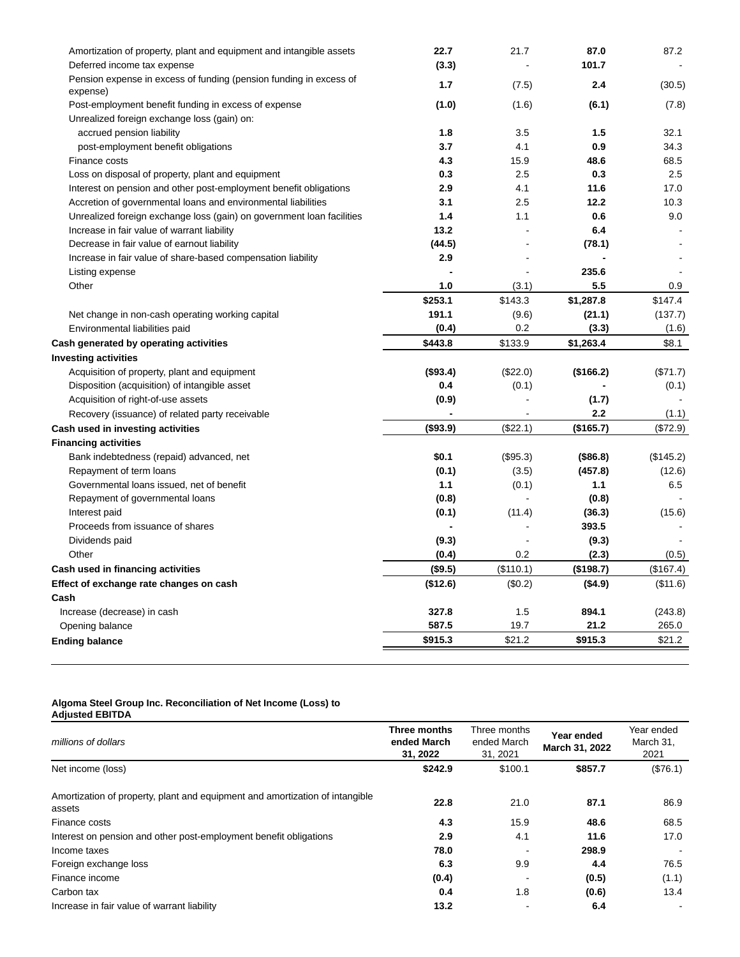| Amortization of property, plant and equipment and intangible assets<br>Deferred income tax expense | 22.7<br>(3.3) | 21.7      | 87.0<br>101.7 | 87.2      |
|----------------------------------------------------------------------------------------------------|---------------|-----------|---------------|-----------|
| Pension expense in excess of funding (pension funding in excess of                                 |               |           |               |           |
| expense)                                                                                           | 1.7           | (7.5)     | 2.4           | (30.5)    |
| Post-employment benefit funding in excess of expense                                               | (1.0)         | (1.6)     | (6.1)         | (7.8)     |
| Unrealized foreign exchange loss (gain) on:                                                        |               |           |               |           |
| accrued pension liability                                                                          | 1.8           | 3.5       | 1.5           | 32.1      |
| post-employment benefit obligations                                                                | 3.7           | 4.1       | 0.9           | 34.3      |
| Finance costs                                                                                      | 4.3           | 15.9      | 48.6          | 68.5      |
| Loss on disposal of property, plant and equipment                                                  | 0.3           | 2.5       | 0.3           | 2.5       |
| Interest on pension and other post-employment benefit obligations                                  | 2.9           | 4.1       | 11.6          | 17.0      |
| Accretion of governmental loans and environmental liabilities                                      | 3.1           | 2.5       | 12.2          | 10.3      |
| Unrealized foreign exchange loss (gain) on government loan facilities                              | 1.4           | 1.1       | 0.6           | 9.0       |
| Increase in fair value of warrant liability                                                        | 13.2          |           | 6.4           |           |
| Decrease in fair value of earnout liability                                                        | (44.5)        |           | (78.1)        |           |
| Increase in fair value of share-based compensation liability                                       | 2.9           |           |               |           |
| Listing expense                                                                                    |               |           | 235.6         |           |
| Other                                                                                              | 1.0           | (3.1)     | 5.5           | 0.9       |
|                                                                                                    | \$253.1       | \$143.3   | \$1,287.8     | \$147.4   |
| Net change in non-cash operating working capital                                                   | 191.1         | (9.6)     | (21.1)        | (137.7)   |
| Environmental liabilities paid                                                                     | (0.4)         | 0.2       | (3.3)         | (1.6)     |
| Cash generated by operating activities                                                             | \$443.8       | \$133.9   | \$1,263.4     | \$8.1     |
| <b>Investing activities</b>                                                                        |               |           |               |           |
| Acquisition of property, plant and equipment                                                       | (\$93.4)      | (\$22.0)  | (\$166.2)     | (\$71.7)  |
| Disposition (acquisition) of intangible asset                                                      | 0.4           | (0.1)     |               | (0.1)     |
| Acquisition of right-of-use assets                                                                 | (0.9)         |           | (1.7)         |           |
| Recovery (issuance) of related party receivable                                                    |               |           | 2.2           | (1.1)     |
| Cash used in investing activities                                                                  | ( \$93.9)     | (\$22.1)  | (\$165.7)     | (\$72.9)  |
| <b>Financing activities</b>                                                                        |               |           |               |           |
| Bank indebtedness (repaid) advanced, net                                                           | \$0.1         | (\$95.3)  | (\$86.8)      | (\$145.2) |
| Repayment of term loans                                                                            | (0.1)         | (3.5)     | (457.8)       | (12.6)    |
| Governmental loans issued, net of benefit                                                          | 1.1           | (0.1)     | 1.1           | 6.5       |
| Repayment of governmental loans                                                                    | (0.8)         |           | (0.8)         |           |
| Interest paid                                                                                      | (0.1)         | (11.4)    | (36.3)        | (15.6)    |
| Proceeds from issuance of shares                                                                   |               |           | 393.5         |           |
| Dividends paid                                                                                     | (9.3)         |           | (9.3)         |           |
| Other                                                                                              | (0.4)         | 0.2       | (2.3)         | (0.5)     |
| Cash used in financing activities                                                                  | (\$9.5)       | (\$110.1) | (\$198.7)     | (\$167.4) |
| Effect of exchange rate changes on cash                                                            | (\$12.6)      | (\$0.2)   | (\$4.9)       | (\$11.6)  |
| Cash                                                                                               |               |           |               |           |
| Increase (decrease) in cash                                                                        | 327.8         | 1.5       | 894.1         | (243.8)   |
| Opening balance                                                                                    | 587.5         | 19.7      | 21.2          | 265.0     |
| <b>Ending balance</b>                                                                              | \$915.3       | \$21.2    | \$915.3       | \$21.2    |
|                                                                                                    |               |           |               |           |

#### **Algoma Steel Group Inc. Reconciliation of Net Income (Loss) to Adjusted EBITDA**

| millions of dollars                                                                    | Three months<br>ended March<br>31, 2022 | Three months<br>ended March<br>31, 2021 | Year ended<br>March 31, 2022 | Year ended<br>March 31,<br>2021 |
|----------------------------------------------------------------------------------------|-----------------------------------------|-----------------------------------------|------------------------------|---------------------------------|
| Net income (loss)                                                                      | \$242.9                                 | \$100.1                                 | \$857.7                      | (\$76.1)                        |
| Amortization of property, plant and equipment and amortization of intangible<br>assets | 22.8                                    | 21.0                                    | 87.1                         | 86.9                            |
| Finance costs                                                                          | 4.3                                     | 15.9                                    | 48.6                         | 68.5                            |
| Interest on pension and other post-employment benefit obligations                      | 2.9                                     | 4.1                                     | 11.6                         | 17.0                            |
| Income taxes                                                                           | 78.0                                    |                                         | 298.9                        |                                 |
| Foreign exchange loss                                                                  | 6.3                                     | 9.9                                     | 4.4                          | 76.5                            |
| Finance income                                                                         | (0.4)                                   |                                         | (0.5)                        | (1.1)                           |
| Carbon tax                                                                             | 0.4                                     | 1.8                                     | (0.6)                        | 13.4                            |
| Increase in fair value of warrant liability                                            | 13.2                                    |                                         | 6.4                          |                                 |